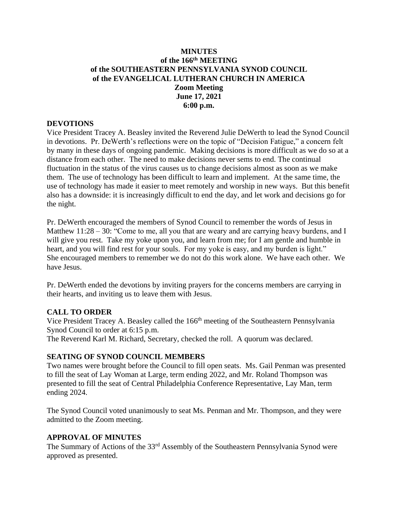### **MINUTES of the 166 th MEETING of the SOUTHEASTERN PENNSYLVANIA SYNOD COUNCIL of the EVANGELICAL LUTHERAN CHURCH IN AMERICA Zoom Meeting June 17, 2021 6:00 p.m.**

#### **DEVOTIONS**

Vice President Tracey A. Beasley invited the Reverend Julie DeWerth to lead the Synod Council in devotions. Pr. DeWerth's reflections were on the topic of "Decision Fatigue," a concern felt by many in these days of ongoing pandemic. Making decisions is more difficult as we do so at a distance from each other. The need to make decisions never sems to end. The continual fluctuation in the status of the virus causes us to change decisions almost as soon as we make them. The use of technology has been difficult to learn and implement. At the same time, the use of technology has made it easier to meet remotely and worship in new ways. But this benefit also has a downside: it is increasingly difficult to end the day, and let work and decisions go for the night.

Pr. DeWerth encouraged the members of Synod Council to remember the words of Jesus in Matthew 11:28 – 30: "Come to me, all you that are weary and are carrying heavy burdens, and I will give you rest. Take my yoke upon you, and learn from me; for I am gentle and humble in heart, and you will find rest for your souls. For my yoke is easy, and my burden is light." She encouraged members to remember we do not do this work alone. We have each other. We have Jesus.

Pr. DeWerth ended the devotions by inviting prayers for the concerns members are carrying in their hearts, and inviting us to leave them with Jesus.

### **CALL TO ORDER**

Vice President Tracey A. Beasley called the 166<sup>th</sup> meeting of the Southeastern Pennsylvania Synod Council to order at 6:15 p.m.

The Reverend Karl M. Richard, Secretary, checked the roll. A quorum was declared.

### **SEATING OF SYNOD COUNCIL MEMBERS**

Two names were brought before the Council to fill open seats. Ms. Gail Penman was presented to fill the seat of Lay Woman at Large, term ending 2022, and Mr. Roland Thompson was presented to fill the seat of Central Philadelphia Conference Representative, Lay Man, term ending 2024.

The Synod Council voted unanimously to seat Ms. Penman and Mr. Thompson, and they were admitted to the Zoom meeting.

### **APPROVAL OF MINUTES**

The Summary of Actions of the 33<sup>rd</sup> Assembly of the Southeastern Pennsylvania Synod were approved as presented.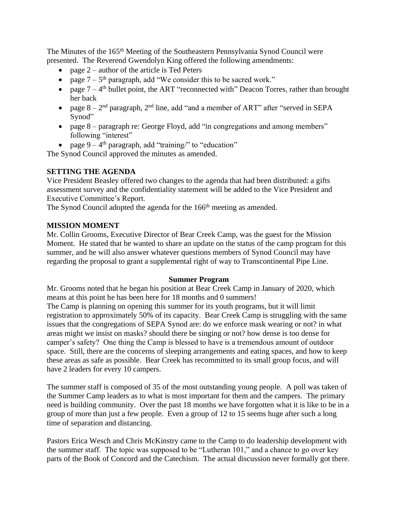The Minutes of the 165<sup>th</sup> Meeting of the Southeastern Pennsylvania Synod Council were presented. The Reverend Gwendolyn King offered the following amendments:

- page  $2$  author of the article is Ted Peters
- page  $7 5$ <sup>th</sup> paragraph, add "We consider this to be sacred work."
- page  $7 4$ <sup>th</sup> bullet point, the ART "reconnected with" Deacon Torres, rather than brought her back
- page  $8 2<sup>nd</sup>$  paragraph,  $2<sup>nd</sup>$  line, add "and a member of ART" after "served in SEPA Synod"
- page 8 paragraph re: George Floyd, add "in congregations and among members" following "interest"
- page  $9 4$ <sup>th</sup> paragraph, add "training/" to "education"

The Synod Council approved the minutes as amended.

# **SETTING THE AGENDA**

Vice President Beasley offered two changes to the agenda that had been distributed: a gifts assessment survey and the confidentiality statement will be added to the Vice President and Executive Committee's Report.

The Synod Council adopted the agenda for the 166<sup>th</sup> meeting as amended.

## **MISSION MOMENT**

Mr. Collin Grooms, Executive Director of Bear Creek Camp, was the guest for the Mission Moment. He stated that he wanted to share an update on the status of the camp program for this summer, and he will also answer whatever questions members of Synod Council may have regarding the proposal to grant a supplemental right of way to Transcontinental Pipe Line.

## **Summer Program**

Mr. Grooms noted that he began his position at Bear Creek Camp in January of 2020, which means at this point he has been here for 18 months and 0 summers! The Camp is planning on opening this summer for its youth programs, but it will limit registration to approximately 50% of its capacity. Bear Creek Camp is struggling with the same issues that the congregations of SEPA Synod are: do we enforce mask wearing or not? in what areas might we insist on masks? should there be singing or not? how dense is too dense for camper's safety? One thing the Camp is blessed to have is a tremendous amount of outdoor space. Still, there are the concerns of sleeping arrangements and eating spaces, and how to keep these areas as safe as possible. Bear Creek has recommitted to its small group focus, and will have 2 leaders for every 10 campers.

The summer staff is composed of 35 of the most outstanding young people. A poll was taken of the Summer Camp leaders as to what is most important for them and the campers. The primary need is building community. Over the past 18 months we have forgotten what it is like to be in a group of more than just a few people. Even a group of 12 to 15 seems huge after such a long time of separation and distancing.

Pastors Erica Wesch and Chris McKinstry came to the Camp to do leadership development with the summer staff. The topic was supposed to be "Lutheran 101," and a chance to go over key parts of the Book of Concord and the Catechism. The actual discussion never formally got there.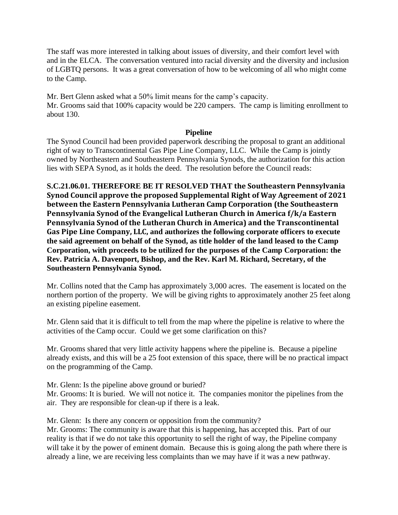The staff was more interested in talking about issues of diversity, and their comfort level with and in the ELCA. The conversation ventured into racial diversity and the diversity and inclusion of LGBTQ persons. It was a great conversation of how to be welcoming of all who might come to the Camp.

Mr. Bert Glenn asked what a 50% limit means for the camp's capacity. Mr. Grooms said that 100% capacity would be 220 campers. The camp is limiting enrollment to about 130.

### **Pipeline**

The Synod Council had been provided paperwork describing the proposal to grant an additional right of way to Transcontinental Gas Pipe Line Company, LLC. While the Camp is jointly owned by Northeastern and Southeastern Pennsylvania Synods, the authorization for this action lies with SEPA Synod, as it holds the deed. The resolution before the Council reads:

**S.C.21.06.01. THEREFORE BE IT RESOLVED THAT the Southeastern Pennsylvania Synod Council approve the proposed Supplemental Right of Way Agreement of 2021 between the Eastern Pennsylvania Lutheran Camp Corporation (the Southeastern Pennsylvania Synod of the Evangelical Lutheran Church in America f/k/a Eastern Pennsylvania Synod of the Lutheran Church in America) and the Transcontinental Gas Pipe Line Company, LLC, and authorizes the following corporate officers to execute the said agreement on behalf of the Synod, as title holder of the land leased to the Camp Corporation, with proceeds to be utilized for the purposes of the Camp Corporation: the Rev. Patricia A. Davenport, Bishop, and the Rev. Karl M. Richard, Secretary, of the Southeastern Pennsylvania Synod.**

Mr. Collins noted that the Camp has approximately 3,000 acres. The easement is located on the northern portion of the property. We will be giving rights to approximately another 25 feet along an existing pipeline easement.

Mr. Glenn said that it is difficult to tell from the map where the pipeline is relative to where the activities of the Camp occur. Could we get some clarification on this?

Mr. Grooms shared that very little activity happens where the pipeline is. Because a pipeline already exists, and this will be a 25 foot extension of this space, there will be no practical impact on the programming of the Camp.

Mr. Glenn: Is the pipeline above ground or buried?

Mr. Grooms: It is buried. We will not notice it. The companies monitor the pipelines from the air. They are responsible for clean-up if there is a leak.

Mr. Glenn: Is there any concern or opposition from the community?

Mr. Grooms: The community is aware that this is happening, has accepted this. Part of our reality is that if we do not take this opportunity to sell the right of way, the Pipeline company will take it by the power of eminent domain. Because this is going along the path where there is already a line, we are receiving less complaints than we may have if it was a new pathway.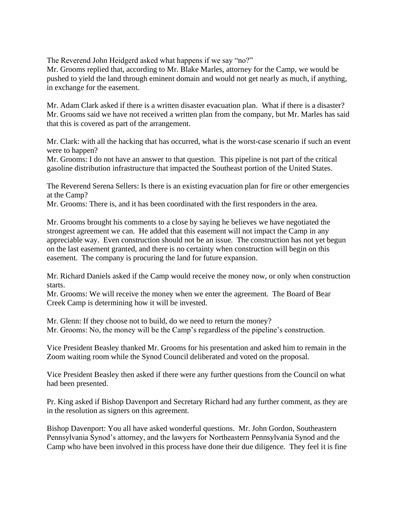The Reverend John Heidgerd asked what happens if we say "no?"

Mr. Grooms replied that, according to Mr. Blake Marles, attorney for the Camp, we would be pushed to yield the land through eminent domain and would not get nearly as much, if anything, in exchange for the easement.

Mr. Adam Clark asked if there is a written disaster evacuation plan. What if there is a disaster? Mr. Grooms said we have not received a written plan from the company, but Mr. Marles has said that this is covered as part of the arrangement.

Mr. Clark: with all the hacking that has occurred, what is the worst-case scenario if such an event were to happen?

Mr. Grooms: I do not have an answer to that question. This pipeline is not part of the critical gasoline distribution infrastructure that impacted the Southeast portion of the United States.

The Reverend Serena Sellers: Is there is an existing evacuation plan for fire or other emergencies at the Camp?

Mr. Grooms: There is, and it has been coordinated with the first responders in the area.

Mr. Grooms brought his comments to a close by saying he believes we have negotiated the strongest agreement we can. He added that this easement will not impact the Camp in any appreciable way. Even construction should not be an issue. The construction has not yet begun on the last easement granted, and there is no certainty when construction will begin on this easement. The company is procuring the land for future expansion.

Mr. Richard Daniels asked if the Camp would receive the money now, or only when construction starts.

Mr. Grooms: We will receive the money when we enter the agreement. The Board of Bear Creek Camp is determining how it will be invested.

Mr. Glenn: If they choose not to build, do we need to return the money? Mr. Grooms: No, the money will be the Camp's regardless of the pipeline's construction.

Vice President Beasley thanked Mr. Grooms for his presentation and asked him to remain in the Zoom waiting room while the Synod Council deliberated and voted on the proposal.

Vice President Beasley then asked if there were any further questions from the Council on what had been presented.

Pr. King asked if Bishop Davenport and Secretary Richard had any further comment, as they are in the resolution as signers on this agreement.

Bishop Davenport: You all have asked wonderful questions. Mr. John Gordon, Southeastern Pennsylvania Synod's attorney, and the lawyers for Northeastern Pennsylvania Synod and the Camp who have been involved in this process have done their due diligence. They feel it is fine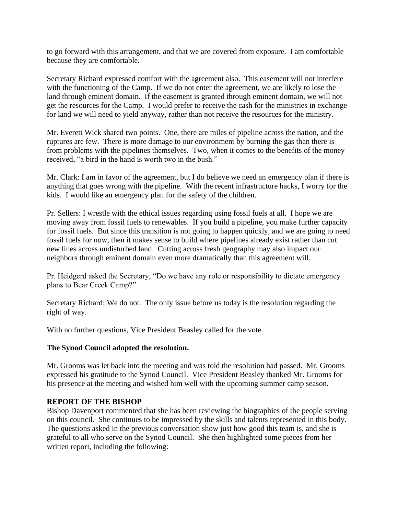to go forward with this arrangement, and that we are covered from exposure. I am comfortable because they are comfortable.

Secretary Richard expressed comfort with the agreement also. This easement will not interfere with the functioning of the Camp. If we do not enter the agreement, we are likely to lose the land through eminent domain. If the easement is granted through eminent domain, we will not get the resources for the Camp. I would prefer to receive the cash for the ministries in exchange for land we will need to yield anyway, rather than not receive the resources for the ministry.

Mr. Everett Wick shared two points. One, there are miles of pipeline across the nation, and the ruptures are few. There is more damage to our environment by burning the gas than there is from problems with the pipelines themselves. Two, when it comes to the benefits of the money received, "a bird in the hand is worth two in the bush."

Mr. Clark: I am in favor of the agreement, but I do believe we need an emergency plan if there is anything that goes wrong with the pipeline. With the recent infrastructure hacks, I worry for the kids. I would like an emergency plan for the safety of the children.

Pr. Sellers: I wrestle with the ethical issues regarding using fossil fuels at all. I hope we are moving away from fossil fuels to renewables. If you build a pipeline, you make further capacity for fossil fuels. But since this transition is not going to happen quickly, and we are going to need fossil fuels for now, then it makes sense to build where pipelines already exist rather than cut new lines across undisturbed land. Cutting across fresh geography may also impact our neighbors through eminent domain even more dramatically than this agreement will.

Pr. Heidgerd asked the Secretary, "Do we have any role or responsibility to dictate emergency plans to Bear Creek Camp?"

Secretary Richard: We do not. The only issue before us today is the resolution regarding the right of way.

With no further questions, Vice President Beasley called for the vote.

### **The Synod Council adopted the resolution.**

Mr. Grooms was let back into the meeting and was told the resolution had passed. Mr. Grooms expressed his gratitude to the Synod Council. Vice President Beasley thanked Mr. Grooms for his presence at the meeting and wished him well with the upcoming summer camp season.

### **REPORT OF THE BISHOP**

Bishop Davenport commented that she has been reviewing the biographies of the people serving on this council. She continues to be impressed by the skills and talents represented in this body. The questions asked in the previous conversation show just how good this team is, and she is grateful to all who serve on the Synod Council. She then highlighted some pieces from her written report, including the following: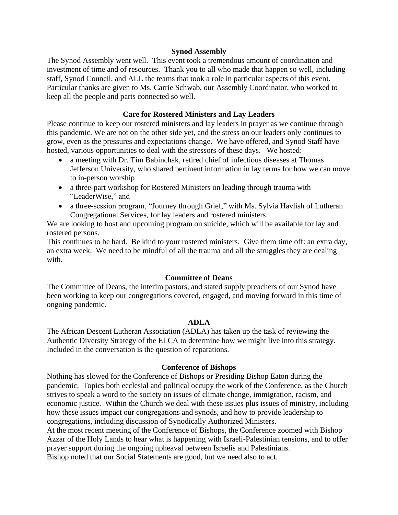#### **Synod Assembly**

The Synod Assembly went well. This event took a tremendous amount of coordination and investment of time and of resources. Thank you to all who made that happen so well, including staff, Synod Council, and ALL the teams that took a role in particular aspects of this event. Particular thanks are given to Ms. Carrie Schwab, our Assembly Coordinator, who worked to keep all the people and parts connected so well.

### **Care for Rostered Ministers and Lay Leaders**

Please continue to keep our rostered ministers and lay leaders in prayer as we continue through this pandemic. We are not on the other side yet, and the stress on our leaders only continues to grow, even as the pressures and expectations change. We have offered, and Synod Staff have hosted, various opportunities to deal with the stressors of these days. We hosted:

- a meeting with Dr. Tim Babinchak, retired chief of infectious diseases at Thomas Jefferson University, who shared pertinent information in lay terms for how we can move to in-person worship
- a three-part workshop for Rostered Ministers on leading through trauma with "LeaderWise," and
- a three-session program, "Journey through Grief," with Ms. Sylvia Havlish of Lutheran Congregational Services, for lay leaders and rostered ministers.

We are looking to host and upcoming program on suicide, which will be available for lay and rostered persons.

This continues to be hard. Be kind to your rostered ministers. Give them time off: an extra day, an extra week. We need to be mindful of all the trauma and all the struggles they are dealing with.

### **Committee of Deans**

The Committee of Deans, the interim pastors, and stated supply preachers of our Synod have been working to keep our congregations covered, engaged, and moving forward in this time of ongoing pandemic.

### **ADLA**

The African Descent Lutheran Association (ADLA) has taken up the task of reviewing the Authentic Diversity Strategy of the ELCA to determine how we might live into this strategy. Included in the conversation is the question of reparations.

#### **Conference of Bishops**

Nothing has slowed for the Conference of Bishops or Presiding Bishop Eaton during the pandemic. Topics both ecclesial and political occupy the work of the Conference, as the Church strives to speak a word to the society on issues of climate change, immigration, racism, and economic justice. Within the Church we deal with these issues plus issues of ministry, including how these issues impact our congregations and synods, and how to provide leadership to congregations, including discussion of Synodically Authorized Ministers.

At the most recent meeting of the Conference of Bishops, the Conference zoomed with Bishop Azzar of the Holy Lands to hear what is happening with Israeli-Palestinian tensions, and to offer prayer support during the ongoing upheaval between Israelis and Palestinians. Bishop noted that our Social Statements are good, but we need also to act.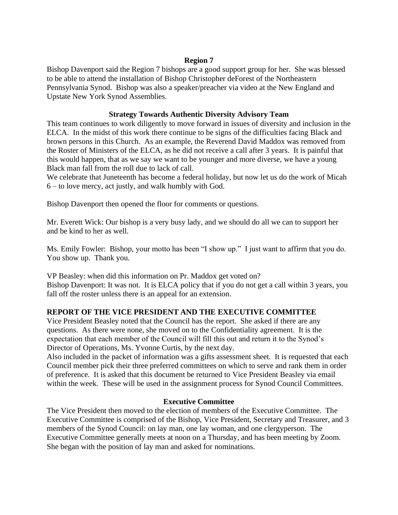### **Region 7**

Bishop Davenport said the Region 7 bishops are a good support group for her. She was blessed to be able to attend the installation of Bishop Christopher deForest of the Northeastern Pennsylvania Synod. Bishop was also a speaker/preacher via video at the New England and Upstate New York Synod Assemblies.

### **Strategy Towards Authentic Diversity Advisory Team**

This team continues to work diligently to move forward in issues of diversity and inclusion in the ELCA. In the midst of this work there continue to be signs of the difficulties facing Black and brown persons in this Church. As an example, the Reverend David Maddox was removed from the Roster of Ministers of the ELCA, as he did not receive a call after 3 years. It is painful that this would happen, that as we say we want to be younger and more diverse, we have a young Black man fall from the roll due to lack of call.

We celebrate that Juneteenth has become a federal holiday, but now let us do the work of Micah 6 – to love mercy, act justly, and walk humbly with God.

Bishop Davenport then opened the floor for comments or questions.

Mr. Everett Wick: Our bishop is a very busy lady, and we should do all we can to support her and be kind to her as well.

Ms. Emily Fowler: Bishop, your motto has been "I show up." I just want to affirm that you do. You show up. Thank you.

VP Beasley: when did this information on Pr. Maddox get voted on? Bishop Davenport: It was not. It is ELCA policy that if you do not get a call within 3 years, you fall off the roster unless there is an appeal for an extension.

## **REPORT OF THE VICE PRESIDENT AND THE EXECUTIVE COMMITTEE**

Vice President Beasley noted that the Council has the report. She asked if there are any questions. As there were none, she moved on to the Confidentiality agreement. It is the expectation that each member of the Council will fill this out and return it to the Synod's Director of Operations, Ms. Yvonne Curtis, by the next day.

Also included in the packet of information was a gifts assessment sheet. It is requested that each Council member pick their three preferred committees on which to serve and rank them in order of preference. It is asked that this document be returned to Vice President Beasley via email within the week. These will be used in the assignment process for Synod Council Committees.

### **Executive Committee**

The Vice President then moved to the election of members of the Executive Committee. The Executive Committee is comprised of the Bishop, Vice President, Secretary and Treasurer, and 3 members of the Synod Council: on lay man, one lay woman, and one clergyperson. The Executive Committee generally meets at noon on a Thursday, and has been meeting by Zoom. She began with the position of lay man and asked for nominations.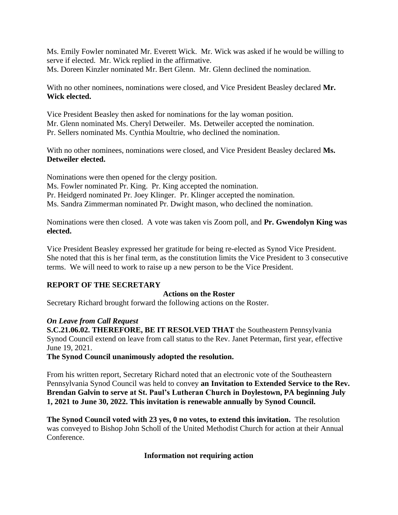Ms. Emily Fowler nominated Mr. Everett Wick. Mr. Wick was asked if he would be willing to serve if elected. Mr. Wick replied in the affirmative. Ms. Doreen Kinzler nominated Mr. Bert Glenn. Mr. Glenn declined the nomination.

With no other nominees, nominations were closed, and Vice President Beasley declared **Mr. Wick elected.**

Vice President Beasley then asked for nominations for the lay woman position. Mr. Glenn nominated Ms. Cheryl Detweiler. Ms. Detweiler accepted the nomination. Pr. Sellers nominated Ms. Cynthia Moultrie, who declined the nomination.

With no other nominees, nominations were closed, and Vice President Beasley declared **Ms. Detweiler elected.**

Nominations were then opened for the clergy position. Ms. Fowler nominated Pr. King. Pr. King accepted the nomination. Pr. Heidgerd nominated Pr. Joey Klinger. Pr. Klinger accepted the nomination. Ms. Sandra Zimmerman nominated Pr. Dwight mason, who declined the nomination.

Nominations were then closed. A vote was taken vis Zoom poll, and **Pr. Gwendolyn King was elected.**

Vice President Beasley expressed her gratitude for being re-elected as Synod Vice President. She noted that this is her final term, as the constitution limits the Vice President to 3 consecutive terms. We will need to work to raise up a new person to be the Vice President.

## **REPORT OF THE SECRETARY**

### **Actions on the Roster**

Secretary Richard brought forward the following actions on the Roster.

## *On Leave from Call Request*

**S.C.21.06.02. THEREFORE, BE IT RESOLVED THAT** the Southeastern Pennsylvania Synod Council extend on leave from call status to the Rev. Janet Peterman, first year, effective June 19, 2021.

**The Synod Council unanimously adopted the resolution.**

From his written report, Secretary Richard noted that an electronic vote of the Southeastern Pennsylvania Synod Council was held to convey **an Invitation to Extended Service to the Rev. Brendan Galvin to serve at St. Paul's Lutheran Church in Doylestown, PA beginning July 1, 2021 to June 30, 2022. This invitation is renewable annually by Synod Council.**

**The Synod Council voted with 23 yes, 0 no votes, to extend this invitation.** The resolution was conveyed to Bishop John Scholl of the United Methodist Church for action at their Annual Conference.

## **Information not requiring action**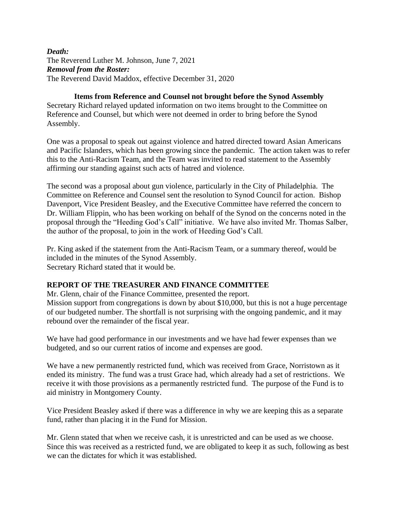### *Death:* The Reverend Luther M. Johnson, June 7, 2021 *Removal from the Roster:* The Reverend David Maddox, effective December 31, 2020

**Items from Reference and Counsel not brought before the Synod Assembly** Secretary Richard relayed updated information on two items brought to the Committee on Reference and Counsel, but which were not deemed in order to bring before the Synod Assembly.

One was a proposal to speak out against violence and hatred directed toward Asian Americans and Pacific Islanders, which has been growing since the pandemic. The action taken was to refer this to the Anti-Racism Team, and the Team was invited to read statement to the Assembly affirming our standing against such acts of hatred and violence.

The second was a proposal about gun violence, particularly in the City of Philadelphia. The Committee on Reference and Counsel sent the resolution to Synod Council for action. Bishop Davenport, Vice President Beasley, and the Executive Committee have referred the concern to Dr. William Flippin, who has been working on behalf of the Synod on the concerns noted in the proposal through the "Heeding God's Call" initiative. We have also invited Mr. Thomas Salber, the author of the proposal, to join in the work of Heeding God's Call.

Pr. King asked if the statement from the Anti-Racism Team, or a summary thereof, would be included in the minutes of the Synod Assembly. Secretary Richard stated that it would be.

## **REPORT OF THE TREASURER AND FINANCE COMMITTEE**

Mr. Glenn, chair of the Finance Committee, presented the report. Mission support from congregations is down by about \$10,000, but this is not a huge percentage of our budgeted number. The shortfall is not surprising with the ongoing pandemic, and it may rebound over the remainder of the fiscal year.

We have had good performance in our investments and we have had fewer expenses than we budgeted, and so our current ratios of income and expenses are good.

We have a new permanently restricted fund, which was received from Grace, Norristown as it ended its ministry. The fund was a trust Grace had, which already had a set of restrictions. We receive it with those provisions as a permanently restricted fund. The purpose of the Fund is to aid ministry in Montgomery County.

Vice President Beasley asked if there was a difference in why we are keeping this as a separate fund, rather than placing it in the Fund for Mission.

Mr. Glenn stated that when we receive cash, it is unrestricted and can be used as we choose. Since this was received as a restricted fund, we are obligated to keep it as such, following as best we can the dictates for which it was established.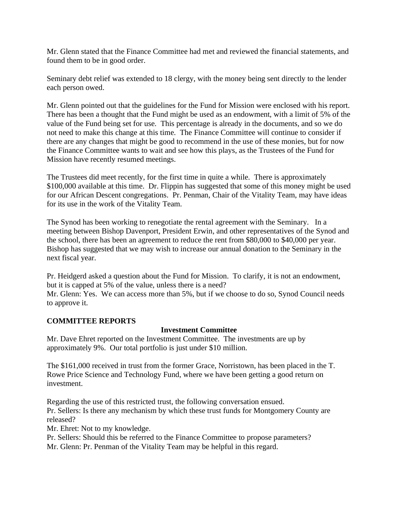Mr. Glenn stated that the Finance Committee had met and reviewed the financial statements, and found them to be in good order.

Seminary debt relief was extended to 18 clergy, with the money being sent directly to the lender each person owed.

Mr. Glenn pointed out that the guidelines for the Fund for Mission were enclosed with his report. There has been a thought that the Fund might be used as an endowment, with a limit of 5% of the value of the Fund being set for use. This percentage is already in the documents, and so we do not need to make this change at this time. The Finance Committee will continue to consider if there are any changes that might be good to recommend in the use of these monies, but for now the Finance Committee wants to wait and see how this plays, as the Trustees of the Fund for Mission have recently resumed meetings.

The Trustees did meet recently, for the first time in quite a while. There is approximately \$100,000 available at this time. Dr. Flippin has suggested that some of this money might be used for our African Descent congregations. Pr. Penman, Chair of the Vitality Team, may have ideas for its use in the work of the Vitality Team.

The Synod has been working to renegotiate the rental agreement with the Seminary. In a meeting between Bishop Davenport, President Erwin, and other representatives of the Synod and the school, there has been an agreement to reduce the rent from \$80,000 to \$40,000 per year. Bishop has suggested that we may wish to increase our annual donation to the Seminary in the next fiscal year.

Pr. Heidgerd asked a question about the Fund for Mission. To clarify, it is not an endowment, but it is capped at 5% of the value, unless there is a need?

Mr. Glenn: Yes. We can access more than 5%, but if we choose to do so, Synod Council needs to approve it.

## **COMMITTEE REPORTS**

### **Investment Committee**

Mr. Dave Ehret reported on the Investment Committee. The investments are up by approximately 9%. Our total portfolio is just under \$10 million.

The \$161,000 received in trust from the former Grace, Norristown, has been placed in the T. Rowe Price Science and Technology Fund, where we have been getting a good return on investment.

Regarding the use of this restricted trust, the following conversation ensued. Pr. Sellers: Is there any mechanism by which these trust funds for Montgomery County are released?

Mr. Ehret: Not to my knowledge.

Pr. Sellers: Should this be referred to the Finance Committee to propose parameters?

Mr. Glenn: Pr. Penman of the Vitality Team may be helpful in this regard.